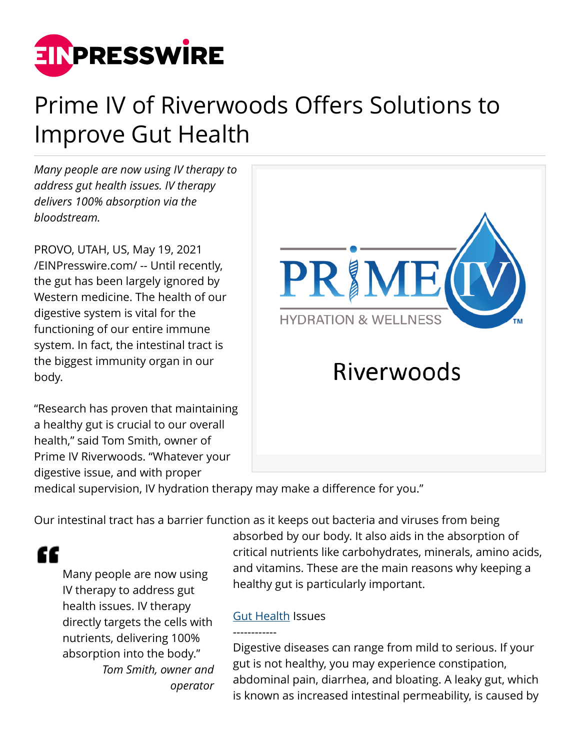

# Prime IV of Riverwoods Offers Solutions to Improve Gut Health

*Many people are now using IV therapy to address gut health issues. IV therapy delivers 100% absorption via the bloodstream.*

PROVO, UTAH, US, May 19, 2021 [/EINPresswire.com/](http://www.einpresswire.com) -- Until recently, the gut has been largely ignored by Western medicine. The health of our digestive system is vital for the functioning of our entire immune system. In fact, the intestinal tract is the biggest immunity organ in our body.

"Research has proven that maintaining a healthy gut is crucial to our overall health," said Tom Smith, owner of Prime IV Riverwoods. "Whatever your digestive issue, and with proper



medical supervision, IV hydration therapy may make a difference for you."

Our intestinal tract has a barrier function as it keeps out bacteria and viruses from being

"

Many people are now using IV therapy to address gut health issues. IV therapy directly targets the cells with nutrients, delivering 100% absorption into the body." *Tom Smith, owner and operator* absorbed by our body. It also aids in the absorption of critical nutrients like carbohydrates, minerals, amino acids, and vitamins. These are the main reasons why keeping a healthy gut is particularly important.

## **[Gut Health](https://primeivriverwoods.com/) Issues**

------------

Digestive diseases can range from mild to serious. If your gut is not healthy, you may experience constipation, abdominal pain, diarrhea, and bloating. A leaky gut, which is known as increased intestinal permeability, is caused by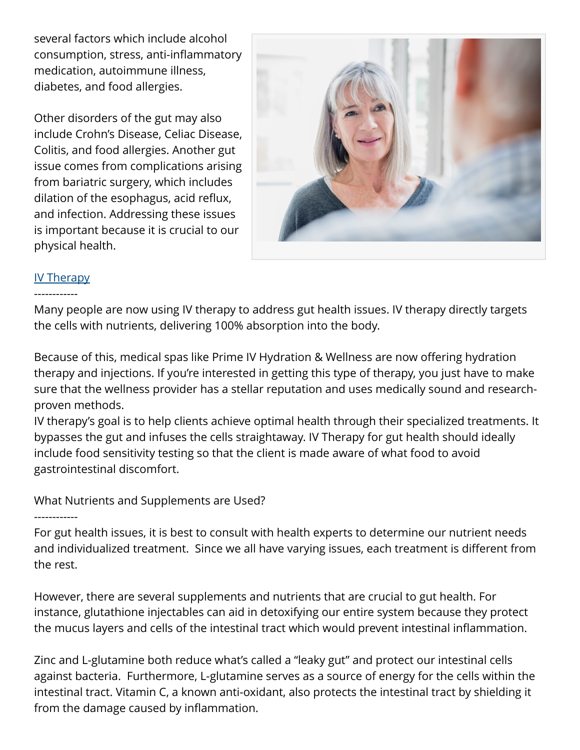several factors which include alcohol consumption, stress, anti-inflammatory medication, autoimmune illness, diabetes, and food allergies.

Other disorders of the gut may also include Crohn's Disease, Celiac Disease, Colitis, and food allergies. Another gut issue comes from complications arising from bariatric surgery, which includes dilation of the esophagus, acid reflux, and infection. Addressing these issues is important because it is crucial to our physical health.



### [IV Therapy](https://primeivriverwoods.com/#treatments)

### ------------

Many people are now using IV therapy to address gut health issues. IV therapy directly targets the cells with nutrients, delivering 100% absorption into the body.

Because of this, medical spas like Prime IV Hydration & Wellness are now offering hydration therapy and injections. If you're interested in getting this type of therapy, you just have to make sure that the wellness provider has a stellar reputation and uses medically sound and researchproven methods.

IV therapy's goal is to help clients achieve optimal health through their specialized treatments. It bypasses the gut and infuses the cells straightaway. IV Therapy for gut health should ideally include food sensitivity testing so that the client is made aware of what food to avoid gastrointestinal discomfort.

What Nutrients and Supplements are Used?

#### ------------

For gut health issues, it is best to consult with health experts to determine our nutrient needs and individualized treatment. Since we all have varying issues, each treatment is different from the rest.

However, there are several supplements and nutrients that are crucial to gut health. For instance, glutathione injectables can aid in detoxifying our entire system because they protect the mucus layers and cells of the intestinal tract which would prevent intestinal inflammation.

Zinc and L-glutamine both reduce what's called a "leaky gut" and protect our intestinal cells against bacteria. Furthermore, L-glutamine serves as a source of energy for the cells within the intestinal tract. Vitamin C, a known anti-oxidant, also protects the intestinal tract by shielding it from the damage caused by inflammation.